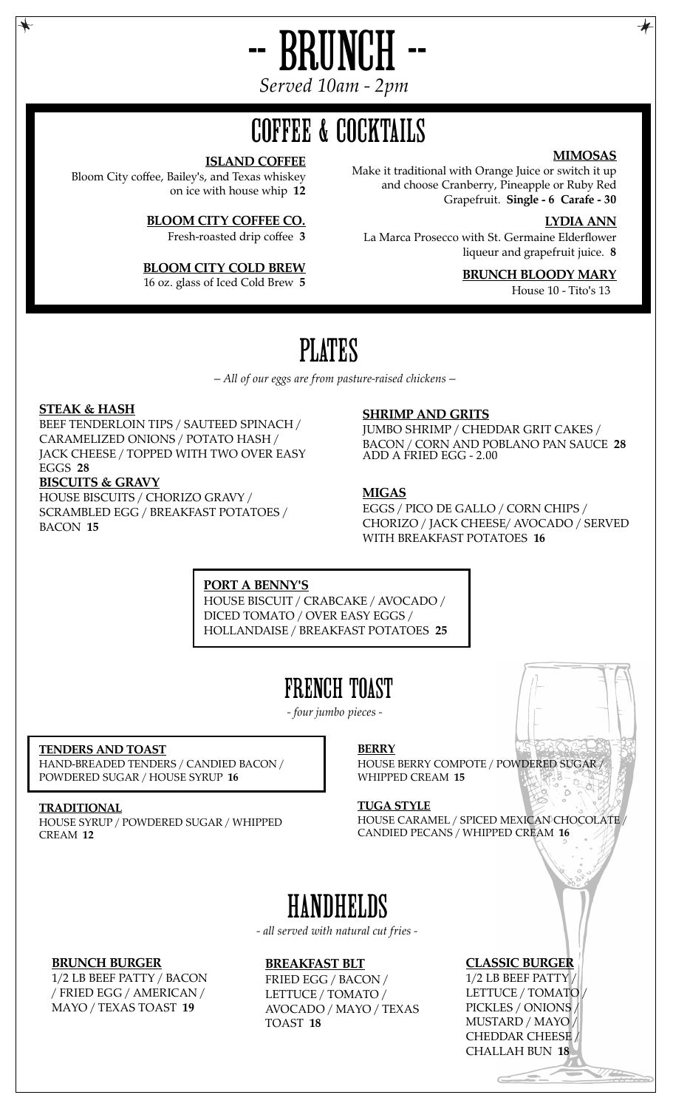

*Served 10am - 2pm*

# COFFEE & COCKTAILS

#### **ISLAND COFFEE**

Bloom City coffee, Bailey's, and Texas whiskey on ice with house whip **12**

**BLOOM CITY COFFEE CO.**

Fresh-roasted drip coffee **3**

### **BLOOM CITY COLD BREW**

16 oz. glass of Iced Cold Brew **5**

### **MIMOSAS**

Make it traditional with Orange Juice or switch it up and choose Cranberry, Pineapple or Ruby Red Grapefruit. **Single - 6 Carafe - 30**

#### **LYDIA ANN**

La Marca Prosecco with St. Germaine Elderflower liqueur and grapefruit juice. **8**

## **BRUNCH BLOODY MARY**

House 10 - Tito's 13

# PLATES

*-- All of our eggs are from pasture-raised chickens --*

#### **STEAK & HASH**

BEEF TENDERLOIN TIPS / SAUTEED SPINACH / CARAMELIZED ONIONS / POTATO HASH / JACK CHEESE / TOPPED WITH TWO OVER EASY EGGS **28**

#### **BISCUITS & GRAVY**

HOUSE BISCUITS / CHORIZO GRAVY / SCRAMBLED EGG / BREAKFAST POTATOES / BACON **15**

#### **SHRIMP AND GRITS**

JUMBO SHRIMP / CHEDDAR GRIT CAKES / BACON / CORN AND POBLANO PAN SAUCE **28** ADD A FRIED EGG - 2.00

### **MIGAS**

EGGS / PICO DE GALLO / CORN CHIPS / CHORIZO / JACK CHEESE/ AVOCADO / SERVED WITH BREAKFAST POTATOES **16**

**PORT A BENNY'S**

HOUSE BISCUIT / CRABCAKE / AVOCADO / DICED TOMATO / OVER EASY EGGS / HOLLANDAISE / BREAKFAST POTATOES **25**

## FRENCH TOAST

*- four jumbo pieces -*

### **TENDERS AND TOAST**

HAND-BREADED TENDERS / CANDIED BACON / POWDERED SUGAR / HOUSE SYRUP **16**

#### **TRADITIONAL** HOUSE SYRUP / POWDERED SUGAR / WHIPPED CREAM **12**

**BERRY**

HOUSE BERRY COMPOTE / POWDERED SUGAR / WHIPPED CREAM **15**

#### **TUGA STYLE**

HOUSE CARAMEL / SPICED MEXICAN CHOCOLATE / CANDIED PECANS / WHIPPED CREAM **16**

# **HANDHELDS**

*- all served with natural cut fries -*

#### **BRUNCH BURGER**

1/2 LB BEEF PATTY / BACON / FRIED EGG / AMERICAN / MAYO / TEXAS TOAST **19**

#### **BREAKFAST BLT**

FRIED EGG / BACON / LETTUCE / TOMATO / AVOCADO / MAYO / TEXAS TOAST **18**

### **CLASSIC BURGER**

1/2 LB BEEF PATTY / LETTUCE / TOMATO / PICKLES / ONIONS / MUSTARD / MAYO / CHEDDAR CHEESE / CHALLAH BUN **18**